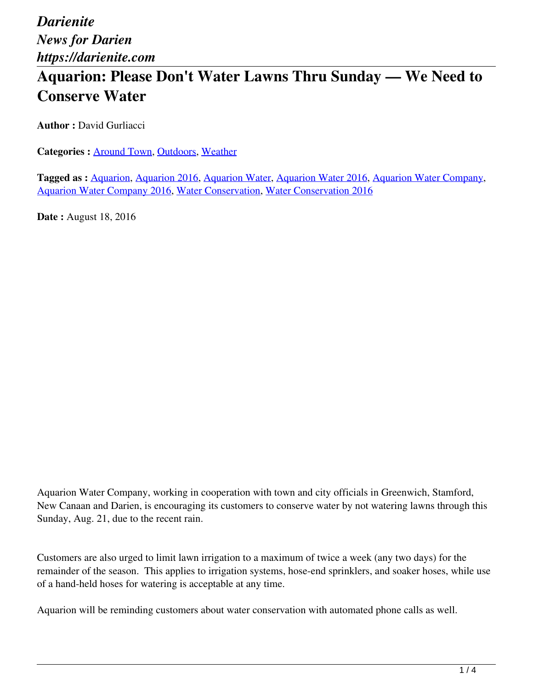*Darienite News for Darien https://darienite.com*

## **Aquarion: Please Don't Water Lawns Thru Sunday — We Need to Conserve Water**

**Author :** David Gurliacci

**Categories :** [Around Town,](https://darienite.com/category/news/around-town) Outdoors, Weather

**Tagged as :** Aquarion, Aquarion 2016, Aquarion Water, Aquarion Water 2016, Aquarion Water Company, Aquarion Water Company 2016, Water Conservation, Water Conservation 2016

**Date :** August 18, 2016

Aquarion Water Company, working in cooperation with town and city officials in Greenwich, Stamford, New Canaan and Darien, is encouraging its customers to conserve water by not watering lawns through this Sunday, Aug. 21, due to the recent rain.

Customers are also urged to limit lawn irrigation to a maximum of twice a week (any two days) for the remainder of the season. This applies to irrigation systems, hose-end sprinklers, and soaker hoses, while use of a hand-held hoses for watering is acceptable at any time.

Aquarion will be reminding customers about water conservation with automated phone calls as well.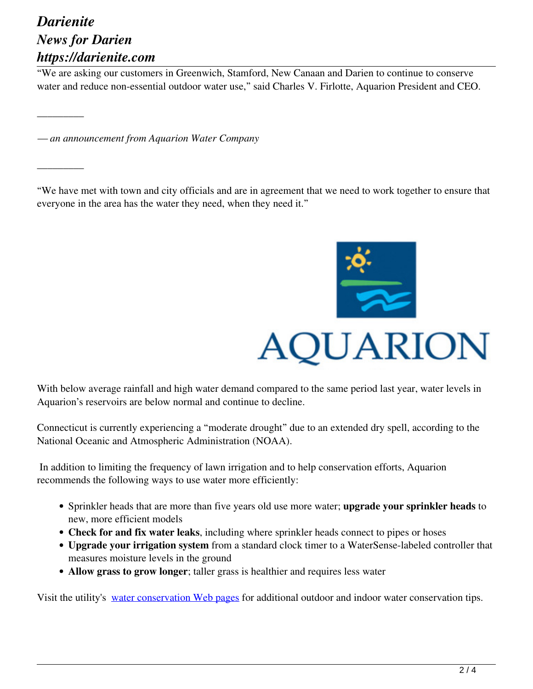## *Darienite News for Darien https://darienite.com*

\_\_\_\_\_\_\_\_\_

\_\_\_\_\_\_\_\_\_

"We are asking our customers in Greenwich, Stamford, New Canaan and Darien to continue to conserve water and reduce non-essential outdoor water use," said Charles V. Firlotte, Aquarion President and CEO.

*— an announcement from Aquarion Water Company*

"We have met with town and city officials and are in agreement that we need to work together to ensure that everyone in the area has the water they need, when they need it."



With below average rainfall and high water demand compared to the same period last year, water levels in Aquarion's reservoirs are below normal and continue to decline.

Connecticut is currently experiencing a "moderate drought" due to an extended dry spell, according to the National Oceanic and Atmospheric Administration (NOAA).

 In addition to limiting the frequency of lawn irrigation and to help conservation efforts, Aquarion recommends the following ways to use water more efficiently:

- Sprinkler heads that are more than five years old use more water; **upgrade your sprinkler heads** to new, more efficient models
- **Check for and fix water leaks**, including where sprinkler heads connect to pipes or hoses
- **Upgrade your irrigation system** from a standard clock timer to a WaterSense-labeled controller that measures moisture levels in the ground
- **Allow grass to grow longer**; taller grass is healthier and requires less water

Visit the utility's water conservation Web pages for additional outdoor and indoor water conservation tips.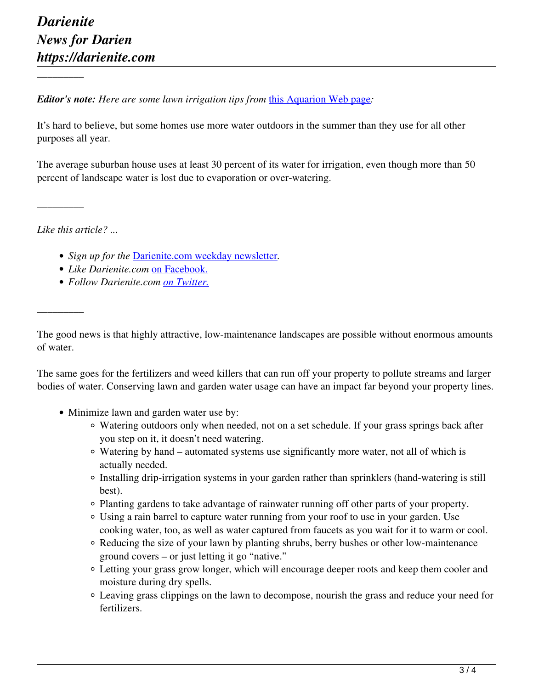\_\_\_\_\_\_\_\_\_

*Editor's note: Here are some lawn irrigation tips from this Aquarion Web page:* 

It's hard to believe, but some homes use more water outdoors in the summer than they use for all other purposes all year.

The average suburban house uses at least 30 percent of its water for irrigation, even though more than 50 percent of landscape water is lost due to evaporation or over-watering.

*Like this article? ...*

\_\_\_\_\_\_\_\_\_

\_\_\_\_\_\_\_\_\_

- *Sign up for the* Darienite.com weekday newsletter*.*
- *Like Darienite.com* on Facebook.
- *Follow Darienite.com on Twitter.*

The good news is that highly attractive, low-maintenance landscapes are possible without enormous amounts of water.

The same goes for the fertilizers and weed killers that can run off your property to pollute streams and larger bodies of water. Conserving lawn and garden water usage can have an impact far beyond your property lines.

- Minimize lawn and garden water use by:
	- Watering outdoors only when needed, not on a set schedule. If your grass springs back after you step on it, it doesn't need watering.
	- Watering by hand automated systems use significantly more water, not all of which is actually needed.
	- Installing drip-irrigation systems in your garden rather than sprinklers (hand-watering is still best).
	- Planting gardens to take advantage of rainwater running off other parts of your property.
	- Using a rain barrel to capture water running from your roof to use in your garden. Use cooking water, too, as well as water captured from faucets as you wait for it to warm or cool.
	- Reducing the size of your lawn by planting shrubs, berry bushes or other low-maintenance ground covers – or just letting it go "native."
	- Letting your grass grow longer, which will encourage deeper roots and keep them cooler and moisture during dry spells.
	- Leaving grass clippings on the lawn to decompose, nourish the grass and reduce your need for fertilizers.